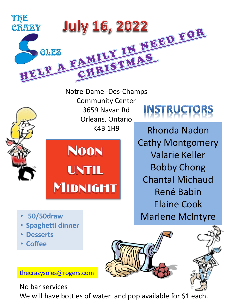





**NOON UNTIL** MIDNIGMT **INSTRUCTORS** 

Rhonda Nadon Cathy Montgomery Valarie Keller Bobby Chong Chantal Michaud René Babin Elaine Cook Marlene McIntyre

- **50/50draw**
- **Spaghetti dinner**
- **Desserts**
- **Coffee**





[thecrazysoles@rogers.com](mailto:thecrazysoles@rogers.com)

No bar services

We will have bottles of water and pop available for \$1 each.